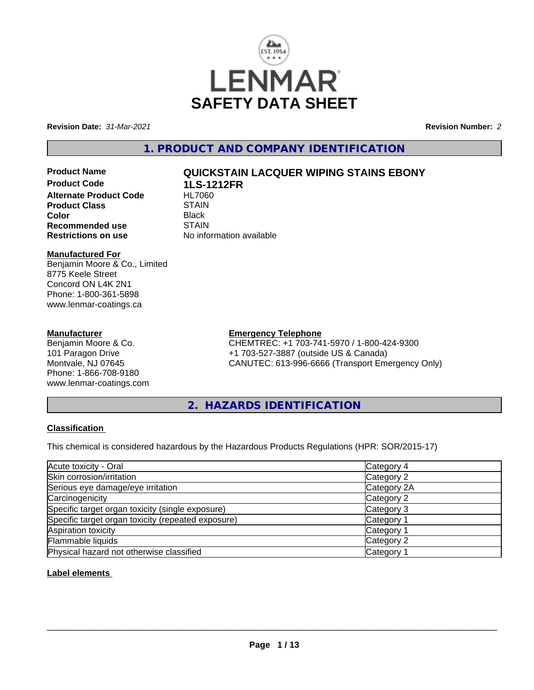

**Revision Date:** *31-Mar-2021* **Revision Number:** *2*

**1. PRODUCT AND COMPANY IDENTIFICATION**

**Product Code 1LS-1212FR Alternate Product Code Product Class STAIN STAIN**<br> **Color** Black **Color** Black **Recommended use** STAIN<br> **Restrictions on use** No info

# **Product Name QUICKSTAIN LACQUER WIPING STAINS EBONY**

**No information available** 

## **Manufactured For**

Benjamin Moore & Co., Limited 8775 Keele Street Concord ON L4K 2N1 Phone: 1-800-361-5898 www.lenmar-coatings.ca

## **Manufacturer**

Benjamin Moore & Co. 101 Paragon Drive Montvale, NJ 07645 Phone: 1-866-708-9180 www.lenmar-coatings.com

## **Emergency Telephone**

CHEMTREC: +1 703-741-5970 / 1-800-424-9300 +1 703-527-3887 (outside US & Canada) CANUTEC: 613-996-6666 (Transport Emergency Only)

**2. HAZARDS IDENTIFICATION**

## **Classification**

This chemical is considered hazardous by the Hazardous Products Regulations (HPR: SOR/2015-17)

| Acute toxicity - Oral                              | Category 4            |  |
|----------------------------------------------------|-----------------------|--|
| Skin corrosion/irritation                          | Category 2            |  |
| Serious eye damage/eye irritation                  | Category 2A           |  |
| Carcinogenicity                                    | Category 2            |  |
| Specific target organ toxicity (single exposure)   | Category 3            |  |
| Specific target organ toxicity (repeated exposure) | Category 1            |  |
| Aspiration toxicity                                | Category 1            |  |
| Flammable liquids                                  | Category 2            |  |
| Physical hazard not otherwise classified           | Category <sup>-</sup> |  |

## **Label elements**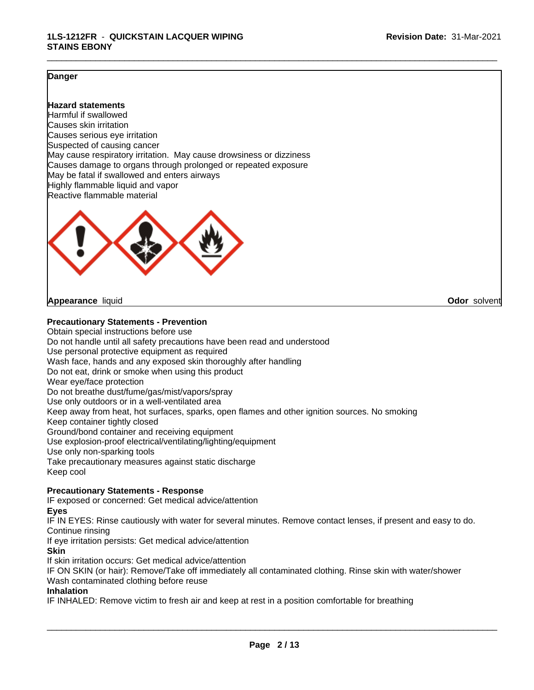\_\_\_\_\_\_\_\_\_\_\_\_\_\_\_\_\_\_\_\_\_\_\_\_\_\_\_\_\_\_\_\_\_\_\_\_\_\_\_\_\_\_\_\_\_\_\_\_\_\_\_\_\_\_\_\_\_\_\_\_\_\_\_\_\_\_\_\_\_\_\_\_\_\_\_\_\_\_\_\_\_\_\_\_\_\_\_\_\_\_\_\_\_

## **Danger**

## **Hazard statements**

Harmful if swallowed Causes skin irritation Causes serious eye irritation Suspected of causing cancer May cause respiratory irritation. May cause drowsiness or dizziness Causes damage to organs through prolonged or repeated exposure May be fatal if swallowed and enters airways Highly flammable liquid and vapor Reactive flammable material



#### **Appearance** liquid **Odor** solvent

#### **Precautionary Statements - Prevention**

Obtain special instructions before use Do not handle until all safety precautions have been read and understood Use personal protective equipment as required Wash face, hands and any exposed skin thoroughly after handling Do not eat, drink or smoke when using this product Wear eye/face protection Do not breathe dust/fume/gas/mist/vapors/spray Use only outdoors or in a well-ventilated area Keep away from heat, hot surfaces, sparks, open flames and other ignition sources. No smoking Keep container tightly closed Ground/bond container and receiving equipment Use explosion-proof electrical/ventilating/lighting/equipment Use only non-sparking tools Take precautionary measures against static discharge Keep cool

## **Precautionary Statements - Response**

IF exposed or concerned: Get medical advice/attention

#### **Eyes**

IF IN EYES: Rinse cautiously with water for several minutes. Remove contact lenses, if present and easy to do. Continue rinsing

If eye irritation persists: Get medical advice/attention

#### **Skin**

If skin irritation occurs: Get medical advice/attention

IF ON SKIN (or hair): Remove/Take off immediately all contaminated clothing. Rinse skin with water/shower Wash contaminated clothing before reuse

### **Inhalation**

IF INHALED: Remove victim to fresh air and keep at rest in a position comfortable for breathing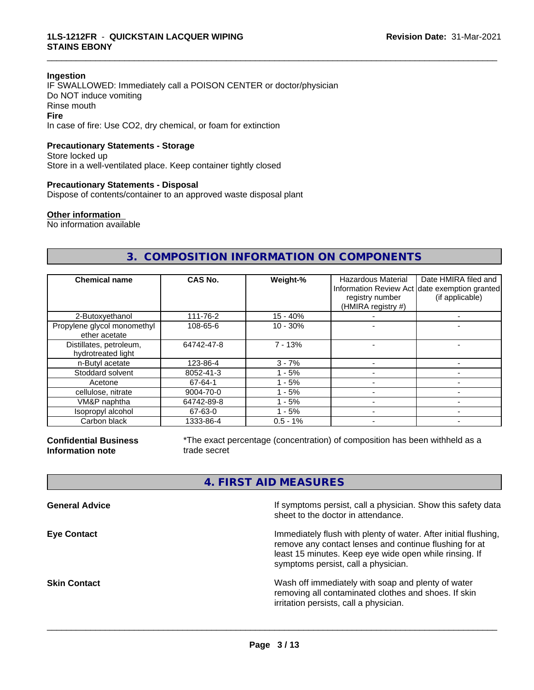#### **Ingestion**

IF SWALLOWED: Immediately call a POISON CENTER or doctor/physician Do NOT induce vomiting Rinse mouth **Fire** In case of fire: Use CO2, dry chemical, or foam for extinction

## **Precautionary Statements - Storage**

Store locked up Store in a well-ventilated place. Keep container tightly closed

#### **Precautionary Statements - Disposal**

Dispose of contents/container to an approved waste disposal plant

#### **Other information**

No information available

## **3. COMPOSITION INFORMATION ON COMPONENTS**

\_\_\_\_\_\_\_\_\_\_\_\_\_\_\_\_\_\_\_\_\_\_\_\_\_\_\_\_\_\_\_\_\_\_\_\_\_\_\_\_\_\_\_\_\_\_\_\_\_\_\_\_\_\_\_\_\_\_\_\_\_\_\_\_\_\_\_\_\_\_\_\_\_\_\_\_\_\_\_\_\_\_\_\_\_\_\_\_\_\_\_\_\_

| <b>Chemical name</b>                          | CAS No.    | Weight-%    | <b>Hazardous Material</b><br>registry number<br>(HMIRA registry #) | Date HMIRA filed and<br>Information Review Act date exemption granted<br>(if applicable) |
|-----------------------------------------------|------------|-------------|--------------------------------------------------------------------|------------------------------------------------------------------------------------------|
| 2-Butoxyethanol                               | 111-76-2   | $15 - 40%$  |                                                                    |                                                                                          |
| Propylene glycol monomethyl<br>ether acetate  | 108-65-6   | $10 - 30%$  |                                                                    |                                                                                          |
| Distillates, petroleum,<br>hydrotreated light | 64742-47-8 | $7 - 13%$   |                                                                    |                                                                                          |
| n-Butyl acetate                               | 123-86-4   | $3 - 7%$    |                                                                    |                                                                                          |
| Stoddard solvent                              | 8052-41-3  | - 5%        |                                                                    |                                                                                          |
| Acetone                                       | 67-64-1    | $1 - 5%$    |                                                                    |                                                                                          |
| cellulose, nitrate                            | 9004-70-0  | $1 - 5%$    |                                                                    |                                                                                          |
| VM&P naphtha                                  | 64742-89-8 | - 5%        |                                                                    |                                                                                          |
| Isopropyl alcohol                             | 67-63-0    | $1 - 5%$    |                                                                    |                                                                                          |
| Carbon black                                  | 1333-86-4  | $0.5 - 1\%$ |                                                                    |                                                                                          |

**Confidential Business Information note**

\*The exact percentage (concentration) of composition has been withheld as a trade secret

## **4. FIRST AID MEASURES**

| <b>General Advice</b> | If symptoms persist, call a physician. Show this safety data<br>sheet to the doctor in attendance.                                                                                                                         |
|-----------------------|----------------------------------------------------------------------------------------------------------------------------------------------------------------------------------------------------------------------------|
| <b>Eye Contact</b>    | Immediately flush with plenty of water. After initial flushing,<br>remove any contact lenses and continue flushing for at<br>least 15 minutes. Keep eye wide open while rinsing. If<br>symptoms persist, call a physician. |
| Skin Contact          | Wash off immediately with soap and plenty of water<br>removing all contaminated clothes and shoes. If skin<br>irritation persists, call a physician.                                                                       |
|                       |                                                                                                                                                                                                                            |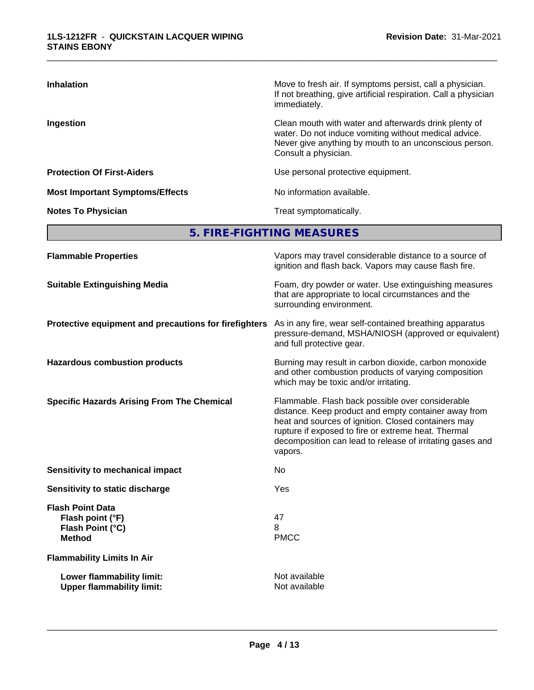| <b>Inhalation</b>                      | Move to fresh air. If symptoms persist, call a physician.<br>If not breathing, give artificial respiration. Call a physician<br>immediately.                                                     |
|----------------------------------------|--------------------------------------------------------------------------------------------------------------------------------------------------------------------------------------------------|
| Ingestion                              | Clean mouth with water and afterwards drink plenty of<br>water. Do not induce vomiting without medical advice.<br>Never give anything by mouth to an unconscious person.<br>Consult a physician. |
| <b>Protection Of First-Aiders</b>      | Use personal protective equipment.                                                                                                                                                               |
| <b>Most Important Symptoms/Effects</b> | No information available.                                                                                                                                                                        |
| <b>Notes To Physician</b>              | Treat symptomatically.                                                                                                                                                                           |

\_\_\_\_\_\_\_\_\_\_\_\_\_\_\_\_\_\_\_\_\_\_\_\_\_\_\_\_\_\_\_\_\_\_\_\_\_\_\_\_\_\_\_\_\_\_\_\_\_\_\_\_\_\_\_\_\_\_\_\_\_\_\_\_\_\_\_\_\_\_\_\_\_\_\_\_\_\_\_\_\_\_\_\_\_\_\_\_\_\_\_\_\_

**5. FIRE-FIGHTING MEASURES**

| <b>Flammable Properties</b>                                                      | Vapors may travel considerable distance to a source of<br>ignition and flash back. Vapors may cause flash fire.                                                                                                                                                                                |
|----------------------------------------------------------------------------------|------------------------------------------------------------------------------------------------------------------------------------------------------------------------------------------------------------------------------------------------------------------------------------------------|
| <b>Suitable Extinguishing Media</b>                                              | Foam, dry powder or water. Use extinguishing measures<br>that are appropriate to local circumstances and the<br>surrounding environment.                                                                                                                                                       |
| Protective equipment and precautions for firefighters                            | As in any fire, wear self-contained breathing apparatus<br>pressure-demand, MSHA/NIOSH (approved or equivalent)<br>and full protective gear.                                                                                                                                                   |
| <b>Hazardous combustion products</b>                                             | Burning may result in carbon dioxide, carbon monoxide<br>and other combustion products of varying composition<br>which may be toxic and/or irritating.                                                                                                                                         |
| <b>Specific Hazards Arising From The Chemical</b>                                | Flammable. Flash back possible over considerable<br>distance. Keep product and empty container away from<br>heat and sources of ignition. Closed containers may<br>rupture if exposed to fire or extreme heat. Thermal<br>decomposition can lead to release of irritating gases and<br>vapors. |
| <b>Sensitivity to mechanical impact</b>                                          | No.                                                                                                                                                                                                                                                                                            |
| Sensitivity to static discharge                                                  | Yes                                                                                                                                                                                                                                                                                            |
| <b>Flash Point Data</b><br>Flash point (°F)<br>Flash Point (°C)<br><b>Method</b> | 47<br>8<br><b>PMCC</b>                                                                                                                                                                                                                                                                         |
| <b>Flammability Limits In Air</b>                                                |                                                                                                                                                                                                                                                                                                |
| Lower flammability limit:<br><b>Upper flammability limit:</b>                    | Not available<br>Not available                                                                                                                                                                                                                                                                 |
|                                                                                  |                                                                                                                                                                                                                                                                                                |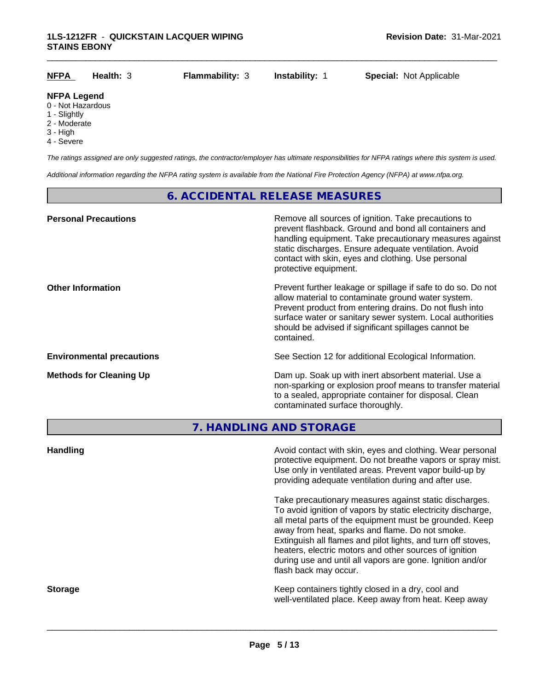| <u>NFPA</u>        | Health: 3 | <b>Flammability: 3</b> | <b>Instability: 1</b> | <b>Special: Not Applicable</b> |  |
|--------------------|-----------|------------------------|-----------------------|--------------------------------|--|
| <b>NFPA Legend</b> |           |                        |                       |                                |  |
| 0 - Not Hazardous  |           |                        |                       |                                |  |

- 
- 1 Slightly
- 2 Moderate
- 3 High
- 4 Severe

*The ratings assigned are only suggested ratings, the contractor/employer has ultimate responsibilities for NFPA ratings where this system is used.*

*Additional information regarding the NFPA rating system is available from the National Fire Protection Agency (NFPA) at www.nfpa.org.*

## **6. ACCIDENTAL RELEASE MEASURES**

| <b>Personal Precautions</b>      | Remove all sources of ignition. Take precautions to<br>prevent flashback. Ground and bond all containers and<br>handling equipment. Take precautionary measures against<br>static discharges. Ensure adequate ventilation. Avoid<br>contact with skin, eyes and clothing. Use personal<br>protective equipment.  |
|----------------------------------|------------------------------------------------------------------------------------------------------------------------------------------------------------------------------------------------------------------------------------------------------------------------------------------------------------------|
| <b>Other Information</b>         | Prevent further leakage or spillage if safe to do so. Do not<br>allow material to contaminate ground water system.<br>Prevent product from entering drains. Do not flush into<br>surface water or sanitary sewer system. Local authorities<br>should be advised if significant spillages cannot be<br>contained. |
| <b>Environmental precautions</b> | See Section 12 for additional Ecological Information.                                                                                                                                                                                                                                                            |
| <b>Methods for Cleaning Up</b>   | Dam up. Soak up with inert absorbent material. Use a<br>non-sparking or explosion proof means to transfer material<br>to a sealed, appropriate container for disposal. Clean<br>contaminated surface thoroughly.                                                                                                 |

**7. HANDLING AND STORAGE**

| <b>Handling</b> | Avoid contact with skin, eyes and clothing. Wear personal<br>protective equipment. Do not breathe vapors or spray mist.<br>Use only in ventilated areas. Prevent vapor build-up by<br>providing adequate ventilation during and after use.                                                                                                                                                                                                           |
|-----------------|------------------------------------------------------------------------------------------------------------------------------------------------------------------------------------------------------------------------------------------------------------------------------------------------------------------------------------------------------------------------------------------------------------------------------------------------------|
|                 | Take precautionary measures against static discharges.<br>To avoid ignition of vapors by static electricity discharge,<br>all metal parts of the equipment must be grounded. Keep<br>away from heat, sparks and flame. Do not smoke.<br>Extinguish all flames and pilot lights, and turn off stoves,<br>heaters, electric motors and other sources of ignition<br>during use and until all vapors are gone. Ignition and/or<br>flash back may occur. |
| <b>Storage</b>  | Keep containers tightly closed in a dry, cool and<br>well-ventilated place. Keep away from heat. Keep away                                                                                                                                                                                                                                                                                                                                           |
|                 |                                                                                                                                                                                                                                                                                                                                                                                                                                                      |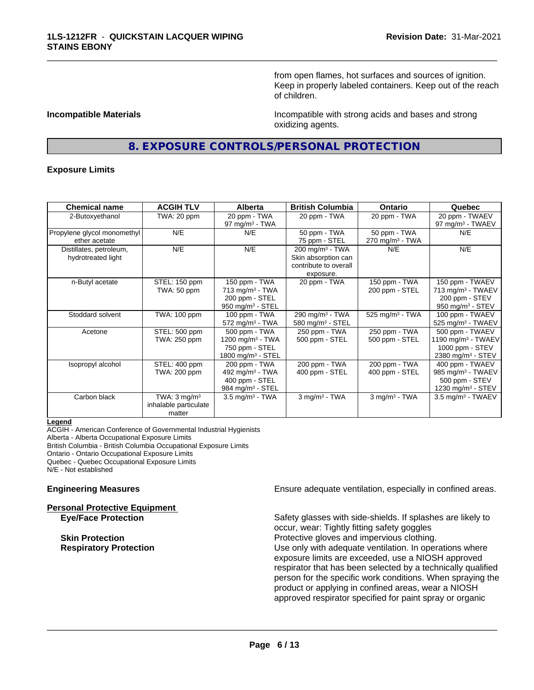from open flames, hot surfaces and sources of ignition. Keep in properly labeled containers. Keep out of the reach of children.

**Incompatible Materials Incompatible with strong acids and bases and strong** oxidizing agents.

## **8. EXPOSURE CONTROLS/PERSONAL PROTECTION**

\_\_\_\_\_\_\_\_\_\_\_\_\_\_\_\_\_\_\_\_\_\_\_\_\_\_\_\_\_\_\_\_\_\_\_\_\_\_\_\_\_\_\_\_\_\_\_\_\_\_\_\_\_\_\_\_\_\_\_\_\_\_\_\_\_\_\_\_\_\_\_\_\_\_\_\_\_\_\_\_\_\_\_\_\_\_\_\_\_\_\_\_\_

#### **Exposure Limits**

| <b>Chemical name</b>        | <b>ACGIH TLV</b>        | Alberta                         | <b>British Columbia</b>       | <b>Ontario</b>                | Quebec                          |
|-----------------------------|-------------------------|---------------------------------|-------------------------------|-------------------------------|---------------------------------|
| 2-Butoxyethanol             | TWA: 20 ppm             | 20 ppm - TWA                    | 20 ppm - TWA                  | 20 ppm - TWA                  | 20 ppm - TWAEV                  |
|                             |                         | 97 mg/m $3$ - TWA               |                               |                               | 97 mg/m <sup>3</sup> - TWAEV    |
| Propylene glycol monomethyl | N/E                     | N/E                             | 50 ppm - TWA                  | 50 ppm - TWA                  | N/E                             |
| ether acetate               |                         |                                 | 75 ppm - STEL                 | $270$ mg/m <sup>3</sup> - TWA |                                 |
| Distillates, petroleum,     | N/E                     | N/E                             | $200$ mg/m <sup>3</sup> - TWA | N/E                           | N/E                             |
| hydrotreated light          |                         |                                 | Skin absorption can           |                               |                                 |
|                             |                         |                                 | contribute to overall         |                               |                                 |
|                             |                         |                                 | exposure.                     |                               |                                 |
| n-Butyl acetate             | STEL: 150 ppm           | 150 ppm - TWA                   | 20 ppm - TWA                  | 150 ppm - TWA                 | 150 ppm - TWAEV                 |
|                             | TWA: 50 ppm             | 713 mg/m <sup>3</sup> - TWA     |                               | 200 ppm - STEL                | 713 mg/m <sup>3</sup> - TWAEV   |
|                             |                         | 200 ppm - STEL                  |                               |                               | 200 ppm - STEV                  |
|                             |                         | 950 mg/m $3 -$ STEL             |                               |                               | 950 mg/m $3 -$ STEV             |
| Stoddard solvent            | TWA: 100 ppm            | 100 ppm - TWA                   | 290 mg/m <sup>3</sup> - TWA   | 525 mg/m <sup>3</sup> - TWA   | 100 ppm - TWAEV                 |
|                             |                         | $572$ mg/m <sup>3</sup> - TWA   | 580 mg/m $3 -$ STEL           |                               | $525$ mg/m <sup>3</sup> - TWAEV |
| Acetone                     | STEL: 500 ppm           | 500 ppm - TWA                   | 250 ppm - TWA                 | 250 ppm - TWA                 | 500 ppm - TWAEV                 |
|                             | TWA: 250 ppm            | 1200 mg/m <sup>3</sup> - TWA    | 500 ppm - STEL                | 500 ppm - STEL                | 1190 mg/m $3$ - TWAEV           |
|                             |                         | 750 ppm - STEL                  |                               |                               | 1000 ppm - STEV                 |
|                             |                         | $1800$ mg/m <sup>3</sup> - STEL |                               |                               | 2380 mg/m <sup>3</sup> - STEV   |
| Isopropyl alcohol           | STEL: 400 ppm           | 200 ppm - TWA                   | 200 ppm - TWA                 | 200 ppm - TWA                 | 400 ppm - TWAEV                 |
|                             | TWA: 200 ppm            | 492 mg/m <sup>3</sup> - TWA     | 400 ppm - STEL                | 400 ppm - STEL                | 985 mg/m <sup>3</sup> - TWAEV   |
|                             |                         | 400 ppm - STEL                  |                               |                               | 500 ppm - STEV                  |
|                             |                         | 984 mg/m <sup>3</sup> - STEL    |                               |                               | 1230 mg/m <sup>3</sup> - STEV   |
| Carbon black                | TWA: $3 \text{ mq/m}^3$ | $3.5 \text{ mg/m}^3$ - TWA      | $3$ mg/m $3$ - TWA            | $3$ mg/m $3$ - TWA            | $3.5$ mg/m <sup>3</sup> - TWAEV |
|                             | inhalable particulate   |                                 |                               |                               |                                 |
|                             | matter                  |                                 |                               |                               |                                 |

#### **Legend**

ACGIH - American Conference of Governmental Industrial Hygienists Alberta - Alberta Occupational Exposure Limits British Columbia - British Columbia Occupational Exposure Limits Ontario - Ontario Occupational Exposure Limits Quebec - Quebec Occupational Exposure Limits N/E - Not established

**Personal Protective Equipment**

**Engineering Measures Ensure adequate ventilation, especially in confined areas.** 

**Eye/Face Protection** Safety glasses with side-shields. If splashes are likely to occur, wear: Tightly fitting safety goggles **Skin Protection Protection Protective gloves and impervious clothing. Respiratory Protection Number 1** (Use only with adequate ventilation. In operations where exposure limits are exceeded, use a NIOSH approved respirator that has been selected by a technically qualified person for the specific work conditions. When spraying the product or applying in confined areas, wear a NIOSH approved respirator specified for paint spray or organic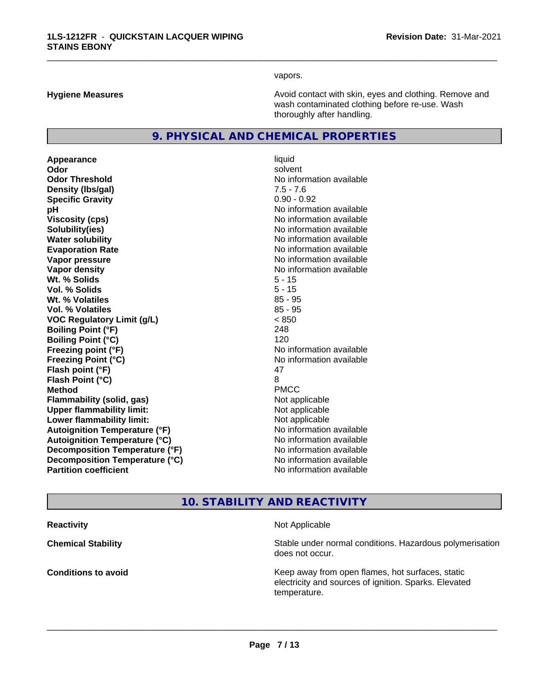vapors.

\_\_\_\_\_\_\_\_\_\_\_\_\_\_\_\_\_\_\_\_\_\_\_\_\_\_\_\_\_\_\_\_\_\_\_\_\_\_\_\_\_\_\_\_\_\_\_\_\_\_\_\_\_\_\_\_\_\_\_\_\_\_\_\_\_\_\_\_\_\_\_\_\_\_\_\_\_\_\_\_\_\_\_\_\_\_\_\_\_\_\_\_\_

**Hygiene Measures Avoid contact with skin, eyes and clothing. Remove and Avoid contact with skin, eyes and clothing. Remove and Avoid contact with skin, eyes and clothing. Remove and** wash contaminated clothing before re-use. Wash thoroughly after handling.

## **9. PHYSICAL AND CHEMICAL PROPERTIES**

**Appearance** liquid **Odor** solvent **Odor Threshold** No information available **Density (lbs/gal)** 7.5 - 7.6 **Specific Gravity** 0.90 - 0.92 **pH pH**  $\blacksquare$ **Viscosity (cps)** No information available **Solubility(ies)** No information available **Water solubility** No information available **Evaporation Rate Evaporation Rate No information available Vapor pressure** No information available in the North American Monte available in the North American available **Vapor density No information available No information available Wt. % Solids** 5 - 15 **Vol. % Solids** 5 - 15 **W<sub>t.</sub>** % Volatiles 85 - 95 **Vol. % Volatiles** 85 - 95 **VOC Regulatory Limit (g/L)** < 850 **Boiling Point (°F)** 248 **Boiling Point (°C)** 120 **Freezing point (°F)** No information available **Freezing Point (°C)** No information available **Flash point (°F)** 47 **Flash Point (°C)** 8 **Method** PMCC **Flammability (solid, gas)** Not applicable **Upper flammability limit:** Not applicable **Lower flammability limit:** Not applicable **Autoignition Temperature (°F)** No information available **Autoignition Temperature (°C)** No information available **Decomposition Temperature (°F)** No information available **Decomposition Temperature (°C)**<br> **Partition coefficient**<br> **Partition coefficient**<br> **No** information available

**No information available** 

## **10. STABILITY AND REACTIVITY**

**Reactivity Not Applicable Not Applicable Not Applicable** 

 $\overline{\phantom{a}}$  ,  $\overline{\phantom{a}}$  ,  $\overline{\phantom{a}}$  ,  $\overline{\phantom{a}}$  ,  $\overline{\phantom{a}}$  ,  $\overline{\phantom{a}}$  ,  $\overline{\phantom{a}}$  ,  $\overline{\phantom{a}}$  ,  $\overline{\phantom{a}}$  ,  $\overline{\phantom{a}}$  ,  $\overline{\phantom{a}}$  ,  $\overline{\phantom{a}}$  ,  $\overline{\phantom{a}}$  ,  $\overline{\phantom{a}}$  ,  $\overline{\phantom{a}}$  ,  $\overline{\phantom{a}}$ 

**Chemical Stability Chemical Stability** Stable under normal conditions. Hazardous polymerisation does not occur.

**Conditions to avoid Conditions to avoid Reseau All Static Reseau All Keep away from open flames, hot surfaces, static <b>Conditions** electricity and sources of ignition. Sparks. Elevated temperature.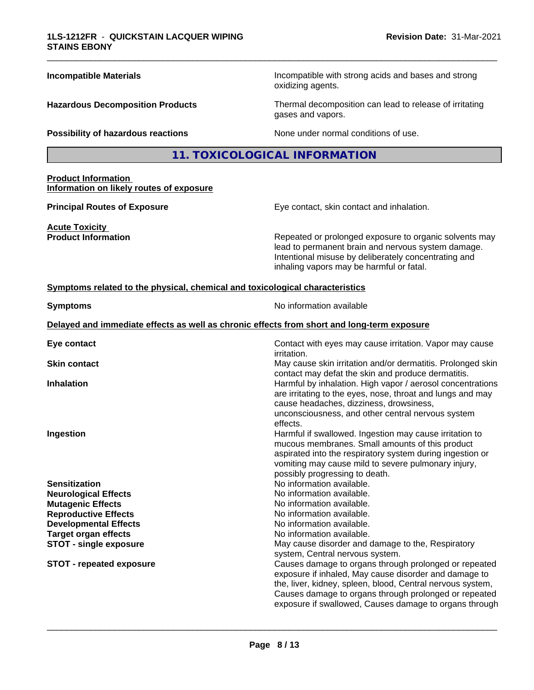| <b>Incompatible Materials</b>                                                | Incompatible with strong acids and bases and strong<br>oxidizing agents.                                                                                                                                                                                                                        |
|------------------------------------------------------------------------------|-------------------------------------------------------------------------------------------------------------------------------------------------------------------------------------------------------------------------------------------------------------------------------------------------|
| <b>Hazardous Decomposition Products</b>                                      | Thermal decomposition can lead to release of irritating<br>gases and vapors.                                                                                                                                                                                                                    |
| Possibility of hazardous reactions                                           | None under normal conditions of use.                                                                                                                                                                                                                                                            |
|                                                                              | 11. TOXICOLOGICAL INFORMATION                                                                                                                                                                                                                                                                   |
| <b>Product Information</b><br>Information on likely routes of exposure       |                                                                                                                                                                                                                                                                                                 |
| <b>Principal Routes of Exposure</b>                                          | Eye contact, skin contact and inhalation.                                                                                                                                                                                                                                                       |
| <b>Acute Toxicity</b><br><b>Product Information</b>                          | Repeated or prolonged exposure to organic solvents may<br>lead to permanent brain and nervous system damage.<br>Intentional misuse by deliberately concentrating and<br>inhaling vapors may be harmful or fatal.                                                                                |
| Symptoms related to the physical, chemical and toxicological characteristics |                                                                                                                                                                                                                                                                                                 |
| <b>Symptoms</b>                                                              | No information available                                                                                                                                                                                                                                                                        |
|                                                                              | Delayed and immediate effects as well as chronic effects from short and long-term exposure                                                                                                                                                                                                      |
| Eye contact                                                                  | Contact with eyes may cause irritation. Vapor may cause<br><i>irritation.</i>                                                                                                                                                                                                                   |
| <b>Skin contact</b>                                                          | May cause skin irritation and/or dermatitis. Prolonged skin<br>contact may defat the skin and produce dermatitis.                                                                                                                                                                               |
| <b>Inhalation</b>                                                            | Harmful by inhalation. High vapor / aerosol concentrations<br>are irritating to the eyes, nose, throat and lungs and may<br>cause headaches, dizziness, drowsiness,<br>unconsciousness, and other central nervous system<br>effects.                                                            |
| Ingestion                                                                    | Harmful if swallowed. Ingestion may cause irritation to<br>mucous membranes. Small amounts of this product<br>aspirated into the respiratory system during ingestion or<br>vomiting may cause mild to severe pulmonary injury,<br>possibly progressing to death.                                |
| <b>Sensitization</b>                                                         | No information available.                                                                                                                                                                                                                                                                       |
| <b>Neurological Effects</b>                                                  | No information available.                                                                                                                                                                                                                                                                       |
| <b>Mutagenic Effects</b><br><b>Reproductive Effects</b>                      | No information available.<br>No information available.                                                                                                                                                                                                                                          |
| <b>Developmental Effects</b>                                                 | No information available.                                                                                                                                                                                                                                                                       |
| <b>Target organ effects</b>                                                  | No information available.                                                                                                                                                                                                                                                                       |
| <b>STOT - single exposure</b>                                                | May cause disorder and damage to the, Respiratory                                                                                                                                                                                                                                               |
|                                                                              | system, Central nervous system.                                                                                                                                                                                                                                                                 |
| <b>STOT - repeated exposure</b>                                              | Causes damage to organs through prolonged or repeated<br>exposure if inhaled, May cause disorder and damage to<br>the, liver, kidney, spleen, blood, Central nervous system,<br>Causes damage to organs through prolonged or repeated<br>exposure if swallowed, Causes damage to organs through |
|                                                                              |                                                                                                                                                                                                                                                                                                 |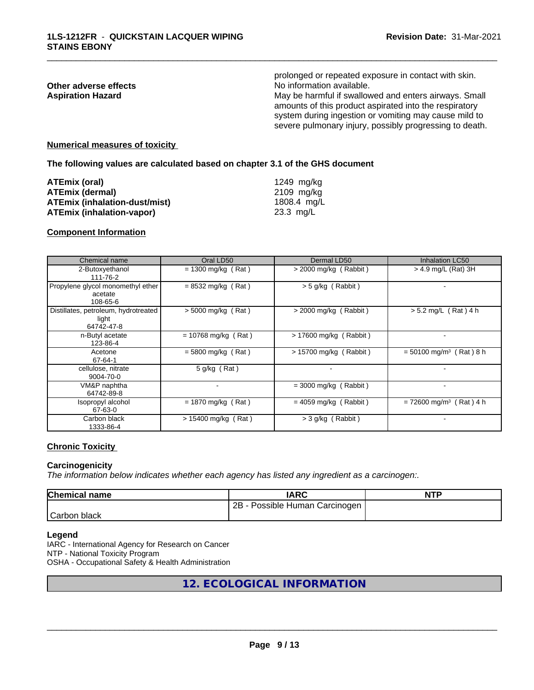## prolonged or repeated exposure in contact with skin. **Other adverse effects**<br> **Aspiration Hazard**<br> **Aspiration Hazard**<br> **Aspiration Hazard**<br> **Aspiration Hazard** May be harmful if swallowed and enters airways. Small amounts of this product aspirated into the respiratory system during ingestion or vomiting may cause mild to severe pulmonary injury, possibly progressing to death.

\_\_\_\_\_\_\_\_\_\_\_\_\_\_\_\_\_\_\_\_\_\_\_\_\_\_\_\_\_\_\_\_\_\_\_\_\_\_\_\_\_\_\_\_\_\_\_\_\_\_\_\_\_\_\_\_\_\_\_\_\_\_\_\_\_\_\_\_\_\_\_\_\_\_\_\_\_\_\_\_\_\_\_\_\_\_\_\_\_\_\_\_\_

#### **Numerical measures of toxicity**

**The following values are calculated based on chapter 3.1 of the GHS document**

| ATEmix (oral)                        | 1249 ma/ka          |
|--------------------------------------|---------------------|
| <b>ATEmix (dermal)</b>               | 2109 mg/kg          |
| <b>ATEmix (inhalation-dust/mist)</b> | 1808.4 mg/L         |
| <b>ATEmix (inhalation-vapor)</b>     | $23.3 \text{ ma/L}$ |

#### **Component Information**

| Chemical name                                               | Oral LD50             | Dermal LD50             | <b>Inhalation LC50</b>                |
|-------------------------------------------------------------|-----------------------|-------------------------|---------------------------------------|
| 2-Butoxyethanol<br>111-76-2                                 | $= 1300$ mg/kg (Rat)  | $>$ 2000 mg/kg (Rabbit) | > 4.9 mg/L (Rat) 3H                   |
| Propylene glycol monomethyl ether<br>acetate<br>108-65-6    | $= 8532$ mg/kg (Rat)  | > 5 g/kg (Rabbit)       |                                       |
| Distillates, petroleum, hydrotreated<br>light<br>64742-47-8 | $> 5000$ mg/kg (Rat)  | $>$ 2000 mg/kg (Rabbit) | $> 5.2$ mg/L (Rat) 4 h                |
| n-Butyl acetate<br>123-86-4                                 | $= 10768$ mg/kg (Rat) | > 17600 mg/kg (Rabbit)  |                                       |
| Acetone<br>67-64-1                                          | $= 5800$ mg/kg (Rat)  | > 15700 mg/kg (Rabbit)  | $= 50100$ mg/m <sup>3</sup> (Rat) 8 h |
| cellulose, nitrate<br>9004-70-0                             | 5 g/kg (Rat)          |                         |                                       |
| VM&P naphtha<br>64742-89-8                                  |                       | $=$ 3000 mg/kg (Rabbit) |                                       |
| Isopropyl alcohol<br>67-63-0                                | $= 1870$ mg/kg (Rat)  | $= 4059$ mg/kg (Rabbit) | $= 72600$ mg/m <sup>3</sup> (Rat) 4 h |
| Carbon black<br>1333-86-4                                   | $> 15400$ mg/kg (Rat) | $>$ 3 g/kg (Rabbit)     |                                       |

## **Chronic Toxicity**

### **Carcinogenicity**

*The information below indicateswhether each agency has listed any ingredient as a carcinogen:.*

| <b>Chemical name</b> | IARC                            | <b>NTP</b> |
|----------------------|---------------------------------|------------|
|                      | 2B<br>Possible Human Carcinogen |            |
| Carbon<br>black      |                                 |            |

#### **Legend**

IARC - International Agency for Research on Cancer NTP - National Toxicity Program OSHA - Occupational Safety & Health Administration

## **12. ECOLOGICAL INFORMATION**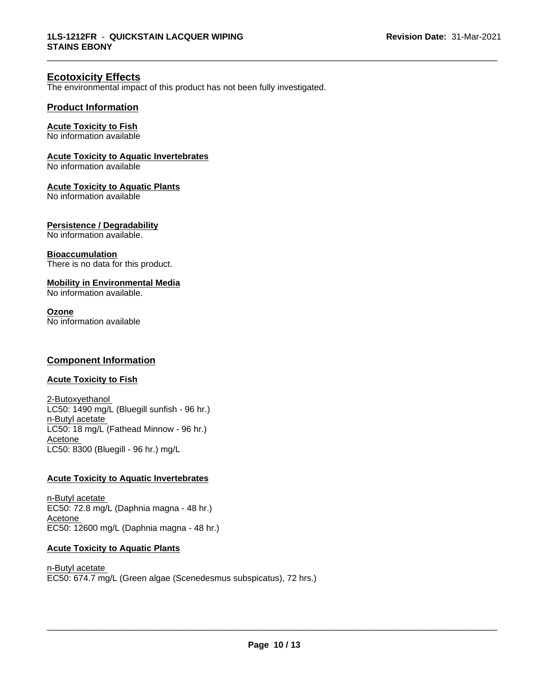\_\_\_\_\_\_\_\_\_\_\_\_\_\_\_\_\_\_\_\_\_\_\_\_\_\_\_\_\_\_\_\_\_\_\_\_\_\_\_\_\_\_\_\_\_\_\_\_\_\_\_\_\_\_\_\_\_\_\_\_\_\_\_\_\_\_\_\_\_\_\_\_\_\_\_\_\_\_\_\_\_\_\_\_\_\_\_\_\_\_\_\_\_

## **Ecotoxicity Effects**

The environmental impact of this product has not been fully investigated.

## **Product Information**

## **Acute Toxicity to Fish**

No information available

### **Acute Toxicity to Aquatic Invertebrates**

No information available

#### **Acute Toxicity to Aquatic Plants**

No information available

#### **Persistence / Degradability**

No information available.

#### **Bioaccumulation**

There is no data for this product.

## **Mobility in Environmental Media**

No information available.

#### **Ozone**

No information available

## **Component Information**

## **Acute Toxicity to Fish**

2-Butoxyethanol LC50: 1490 mg/L (Bluegill sunfish - 96 hr.) n-Butyl acetate LC50: 18 mg/L (Fathead Minnow - 96 hr.) Acetone LC50: 8300 (Bluegill - 96 hr.) mg/L

#### **Acute Toxicity to Aquatic Invertebrates**

n-Butyl acetate EC50: 72.8 mg/L (Daphnia magna - 48 hr.) Acetone EC50: 12600 mg/L (Daphnia magna - 48 hr.)

### **Acute Toxicity to Aquatic Plants**

n-Butyl acetate EC50: 674.7 mg/L (Green algae (Scenedesmus subspicatus), 72 hrs.)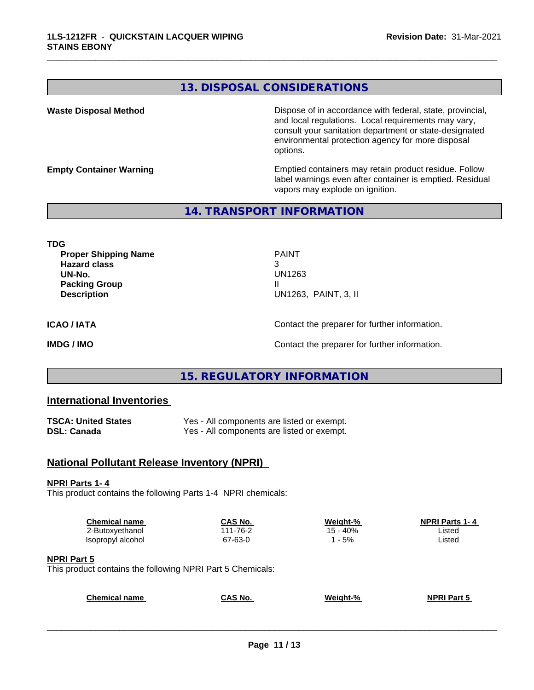## **13. DISPOSAL CONSIDERATIONS**

**Waste Disposal Method Dispose of in accordance with federal, state, provincial,** and local regulations. Local requirements may vary, consult your sanitation department or state-designated environmental protection agency for more disposal options.

**Empty Container Warning <b>Emptied** Containers may retain product residue. Follow label warnings even after container is emptied. Residual vapors may explode on ignition.

## **14. TRANSPORT INFORMATION**

**TDG**

**Proper Shipping Name PAINT Hazard class** 3 **UN-No.** UN1263 **Packing Group III Description** UN1263, PAINT, 3, II

\_\_\_\_\_\_\_\_\_\_\_\_\_\_\_\_\_\_\_\_\_\_\_\_\_\_\_\_\_\_\_\_\_\_\_\_\_\_\_\_\_\_\_\_\_\_\_\_\_\_\_\_\_\_\_\_\_\_\_\_\_\_\_\_\_\_\_\_\_\_\_\_\_\_\_\_\_\_\_\_\_\_\_\_\_\_\_\_\_\_\_\_\_

**ICAO / IATA** Contact the preparer for further information.

**IMDG / IMO Contact the preparer for further information.** 

## **15. REGULATORY INFORMATION**

## **International Inventories**

| <b>TSCA: United States</b> | Yes - All components are listed or exempt. |
|----------------------------|--------------------------------------------|
| DSL: Canada                | Yes - All components are listed or exempt. |

## **National Pollutant Release Inventory (NPRI)**

### **NPRI Parts 1- 4**

This product contains the following Parts 1-4 NPRI chemicals:

| <b>Chemical name</b> | CAS No.  | Weight-% | <b>NPRI Parts 1-4</b> |
|----------------------|----------|----------|-----------------------|
| 2-Butoxyethanol      | 111-76-2 | .5 - 40% | ∟isted                |
| Isopropyl alcohol    | 67-63-0  | $-5%$    | Listed                |
|                      |          |          |                       |

#### **NPRI Part 5**

This product contains the following NPRI Part 5 Chemicals:

| <b>Chemical name</b> | <b>CAS No.</b> | Weight-% | <b>NPRI Part 5</b> |
|----------------------|----------------|----------|--------------------|
|                      |                |          |                    |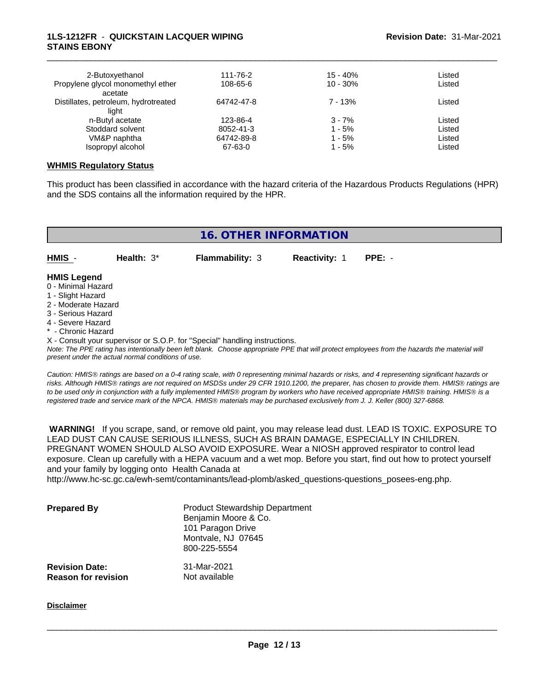### **1LS-1212FR** - **QUICKSTAIN LACQUER WIPING STAINS EBONY**

| 2-Butoxyethanol                              | 111-76-2   | $15 - 40%$ | Listed |  |
|----------------------------------------------|------------|------------|--------|--|
| Propylene glycol monomethyl ether<br>acetate | 108-65-6   | $10 - 30%$ | Listed |  |
| Distillates, petroleum, hydrotreated         | 64742-47-8 | $7 - 13%$  | Listed |  |
| liaht                                        |            |            |        |  |
| n-Butyl acetate                              | 123-86-4   | $3 - 7%$   | Listed |  |
| Stoddard solvent                             | 8052-41-3  | $1 - 5%$   | Listed |  |
| VM&P naphtha                                 | 64742-89-8 | $1 - 5%$   | Listed |  |
| Isopropyl alcohol                            | 67-63-0    | 1 - 5%     | Listed |  |

\_\_\_\_\_\_\_\_\_\_\_\_\_\_\_\_\_\_\_\_\_\_\_\_\_\_\_\_\_\_\_\_\_\_\_\_\_\_\_\_\_\_\_\_\_\_\_\_\_\_\_\_\_\_\_\_\_\_\_\_\_\_\_\_\_\_\_\_\_\_\_\_\_\_\_\_\_\_\_\_\_\_\_\_\_\_\_\_\_\_\_\_\_

#### **WHMIS Regulatory Status**

This product has been classified in accordance with the hazard criteria of the Hazardous Products Regulations (HPR) and the SDS contains all the information required by the HPR.

| <b>16. OTHER INFORMATION</b>                                                                               |               |                        |                      |          |
|------------------------------------------------------------------------------------------------------------|---------------|------------------------|----------------------|----------|
| $HMIS -$                                                                                                   | Health: $3^*$ | <b>Flammability: 3</b> | <b>Reactivity: 1</b> | $PPE: -$ |
| <b>HMIS Legend</b><br>0 - Minimal Hazard<br>1 - Slight Hazard<br>2 - Moderate Hazard<br>3 - Serious Hazard |               |                        |                      |          |

- 4 Severe Hazard
- Chronic Hazard

X - Consult your supervisor or S.O.P. for "Special" handling instructions.

*Note: The PPE rating has intentionally been left blank. Choose appropriate PPE that will protect employees from the hazards the material will present under the actual normal conditions of use.*

*Caution: HMISÒ ratings are based on a 0-4 rating scale, with 0 representing minimal hazards or risks, and 4 representing significant hazards or risks. Although HMISÒ ratings are not required on MSDSs under 29 CFR 1910.1200, the preparer, has chosen to provide them. HMISÒ ratings are to be used only in conjunction with a fully implemented HMISÒ program by workers who have received appropriate HMISÒ training. HMISÒ is a registered trade and service mark of the NPCA. HMISÒ materials may be purchased exclusively from J. J. Keller (800) 327-6868.*

 **WARNING!** If you scrape, sand, or remove old paint, you may release lead dust. LEAD IS TOXIC. EXPOSURE TO LEAD DUST CAN CAUSE SERIOUS ILLNESS, SUCH AS BRAIN DAMAGE, ESPECIALLY IN CHILDREN. PREGNANT WOMEN SHOULD ALSO AVOID EXPOSURE.Wear a NIOSH approved respirator to control lead exposure. Clean up carefully with a HEPA vacuum and a wet mop. Before you start, find out how to protect yourself and your family by logging onto Health Canada at

http://www.hc-sc.gc.ca/ewh-semt/contaminants/lead-plomb/asked\_questions-questions\_posees-eng.php.

| <b>Prepared By</b>                                  | <b>Product Stewardship Department</b><br>Benjamin Moore & Co.<br>101 Paragon Drive<br>Montvale, NJ 07645<br>800-225-5554 |  |
|-----------------------------------------------------|--------------------------------------------------------------------------------------------------------------------------|--|
| <b>Revision Date:</b><br><b>Reason for revision</b> | 31-Mar-2021<br>Not available                                                                                             |  |

**Disclaimer**